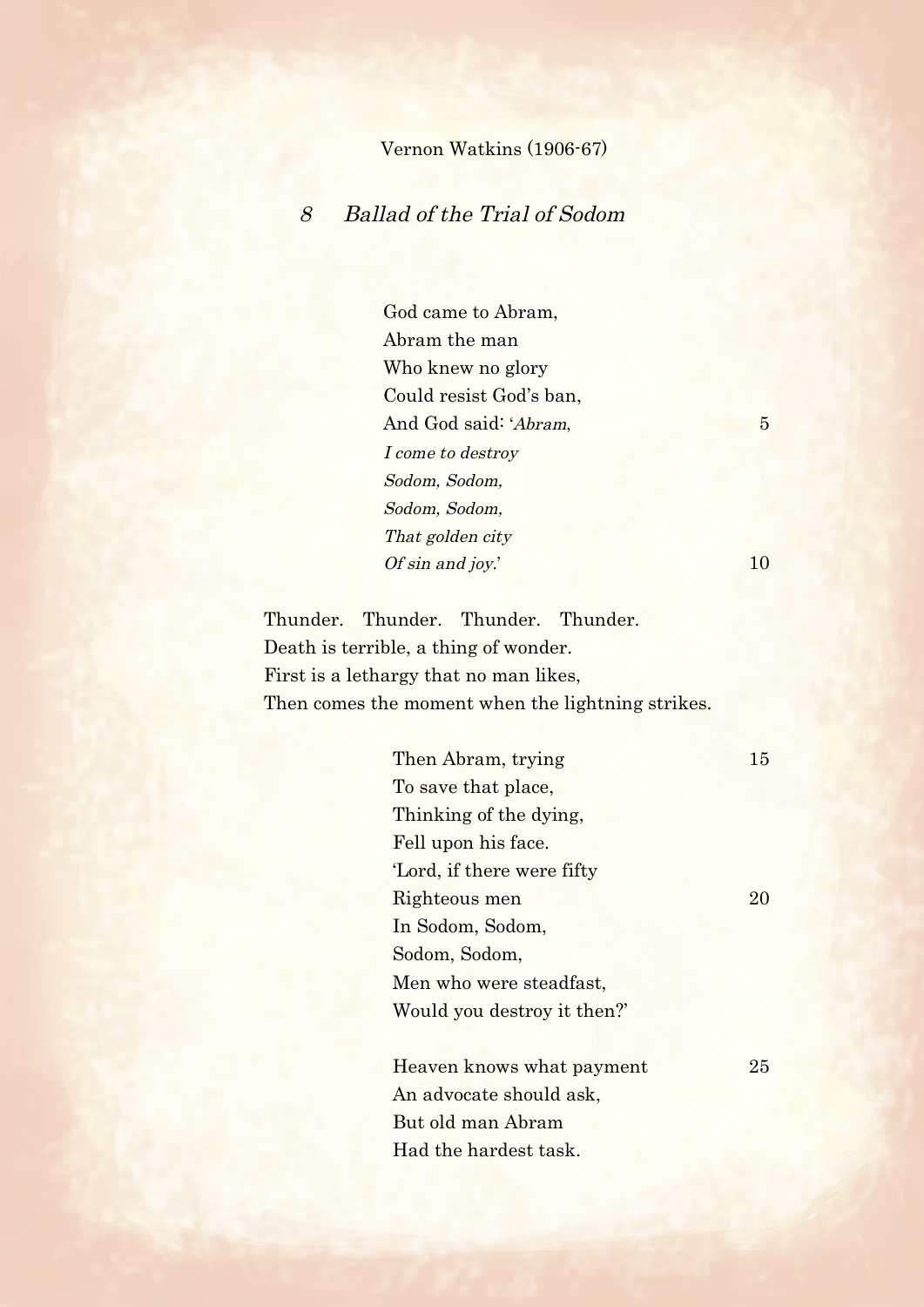## Vernon Watkins (1906-67)

## 8 Ballad of the Trial of Sodom

God came to Abram, Abram the man Who knew no glory Could resist God's ban, And God said: 'Abram, 5 I come to destroy Sodom, Sodom, Sodom, Sodom, That golden city Of sin and joy.' 10

Thunder. Thunder. Thunder. Thunder. Death is terrible, a thing of wonder. First is a lethargy that no man likes, Then comes the moment when the lightning strikes.

| Then Abram, trying         | 15 |
|----------------------------|----|
| To save that place,        |    |
| Thinking of the dying,     |    |
| Fell upon his face.        |    |
| 'Lord, if there were fifty |    |
| Righteous men              | 20 |
| In Sodom, Sodom,           |    |
| Sodom, Sodom,              |    |
| Men who were steadfast,    |    |
| Would you destroy it then? |    |
|                            |    |
| Heaven knows what payment  | 25 |
| An advocate should ask,    |    |
| But old man Abram          |    |
| Had the hardest task.      |    |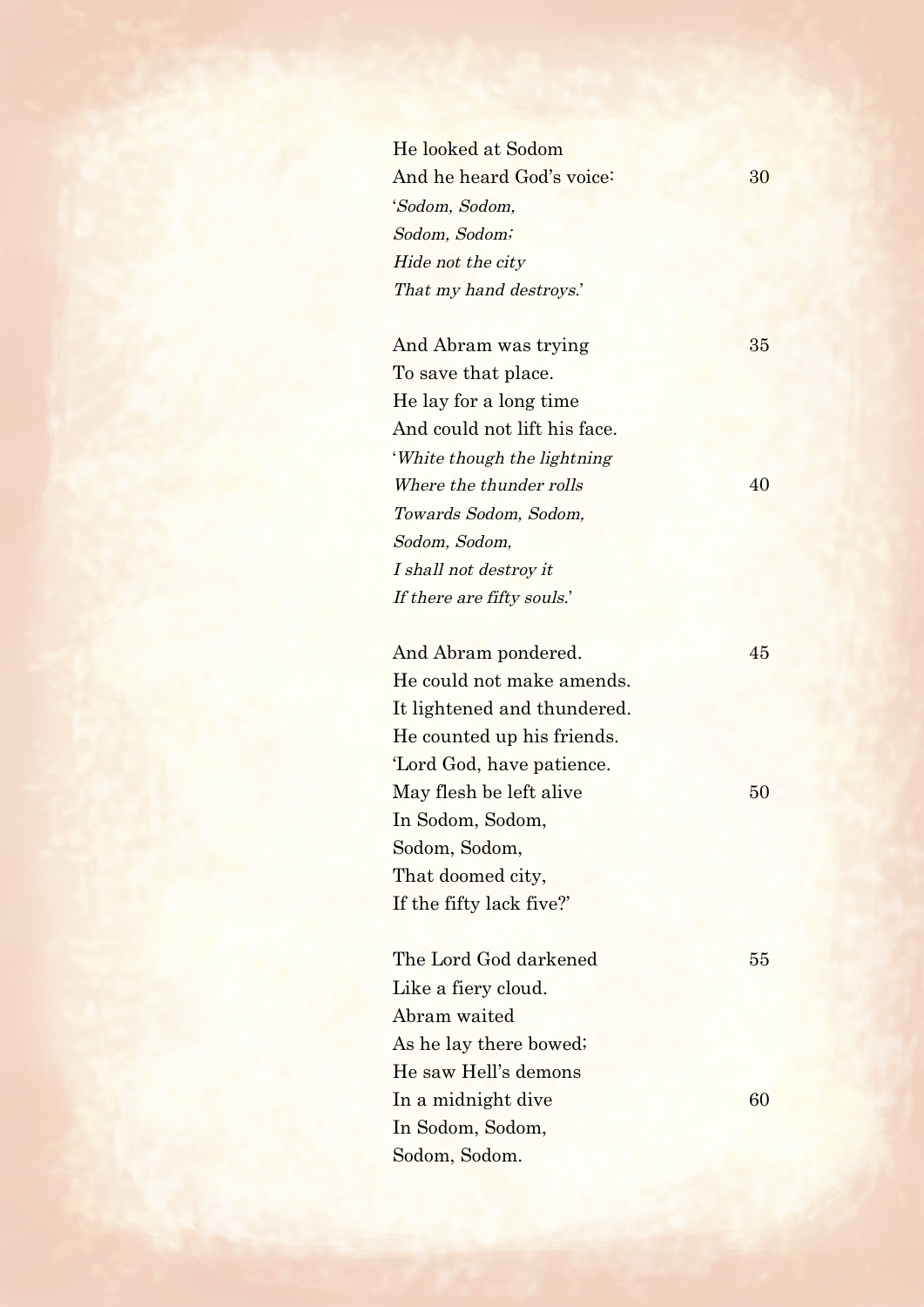He looked at Sodom And he heard God's voice: 30 'Sodom, Sodom, Sodom, Sodom; Hide not the city That my hand destroys.'

And Abram was trying 35 To save that place. He lay for a long time And could not lift his face. 'White though the lightning Where the thunder rolls 40 Towards Sodom, Sodom, Sodom, Sodom, I shall not destroy it If there are fifty souls.'

And Abram pondered. 45 He could not make amends. It lightened and thundered. He counted up his friends. 'Lord God, have patience. May flesh be left alive 50 In Sodom, Sodom, Sodom, Sodom, That doomed city, If the fifty lack five?'

The Lord God darkened 55 Like a fiery cloud. Abram waited As he lay there bowed; He saw Hell's demons  $\ln a$  midnight dive 60 In Sodom, Sodom, Sodom, Sodom.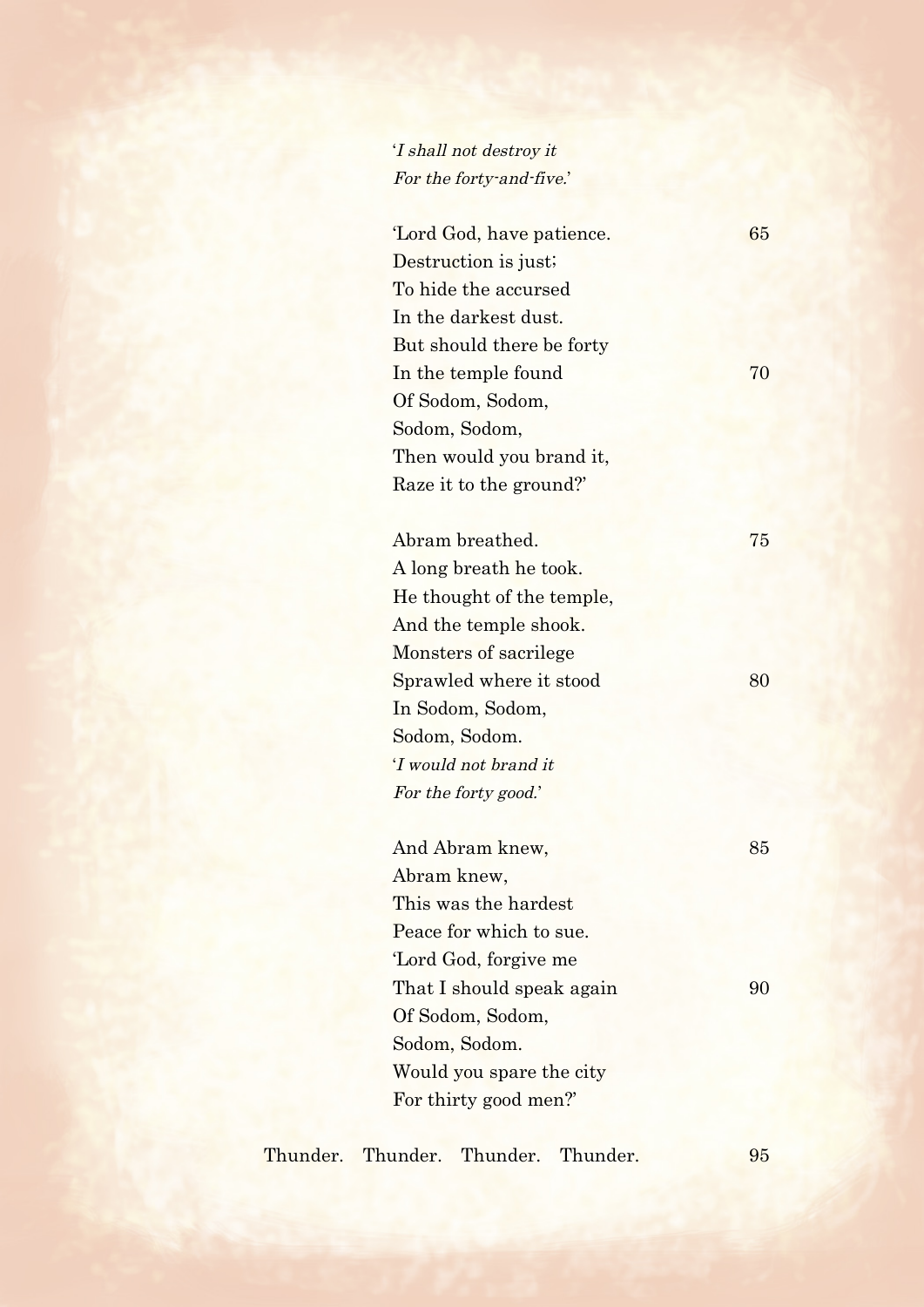## 'I shall not destroy it For the forty-and-five.'

'Lord God, have patience. 65 Destruction is just; To hide the accursed In the darkest dust. But should there be forty In the temple found 70 Of Sodom, Sodom, Sodom, Sodom, Then would you brand it, Raze it to the ground?'

Abram breathed. 75 A long breath he took. He thought of the temple, And the temple shook. Monsters of sacrilege Sprawled where it stood 80 In Sodom, Sodom, Sodom, Sodom. 'I would not brand it For the forty good.'

| And Abram knew,           | 85 |
|---------------------------|----|
| Abram knew,               |    |
| This was the hardest      |    |
| Peace for which to sue.   |    |
| 'Lord God, forgive me     |    |
| That I should speak again | 90 |
| Of Sodom, Sodom,          |    |
| Sodom, Sodom.             |    |
| Would you spare the city  |    |
| For thirty good men?      |    |

Thunder. Thunder. Thunder. Thunder. 95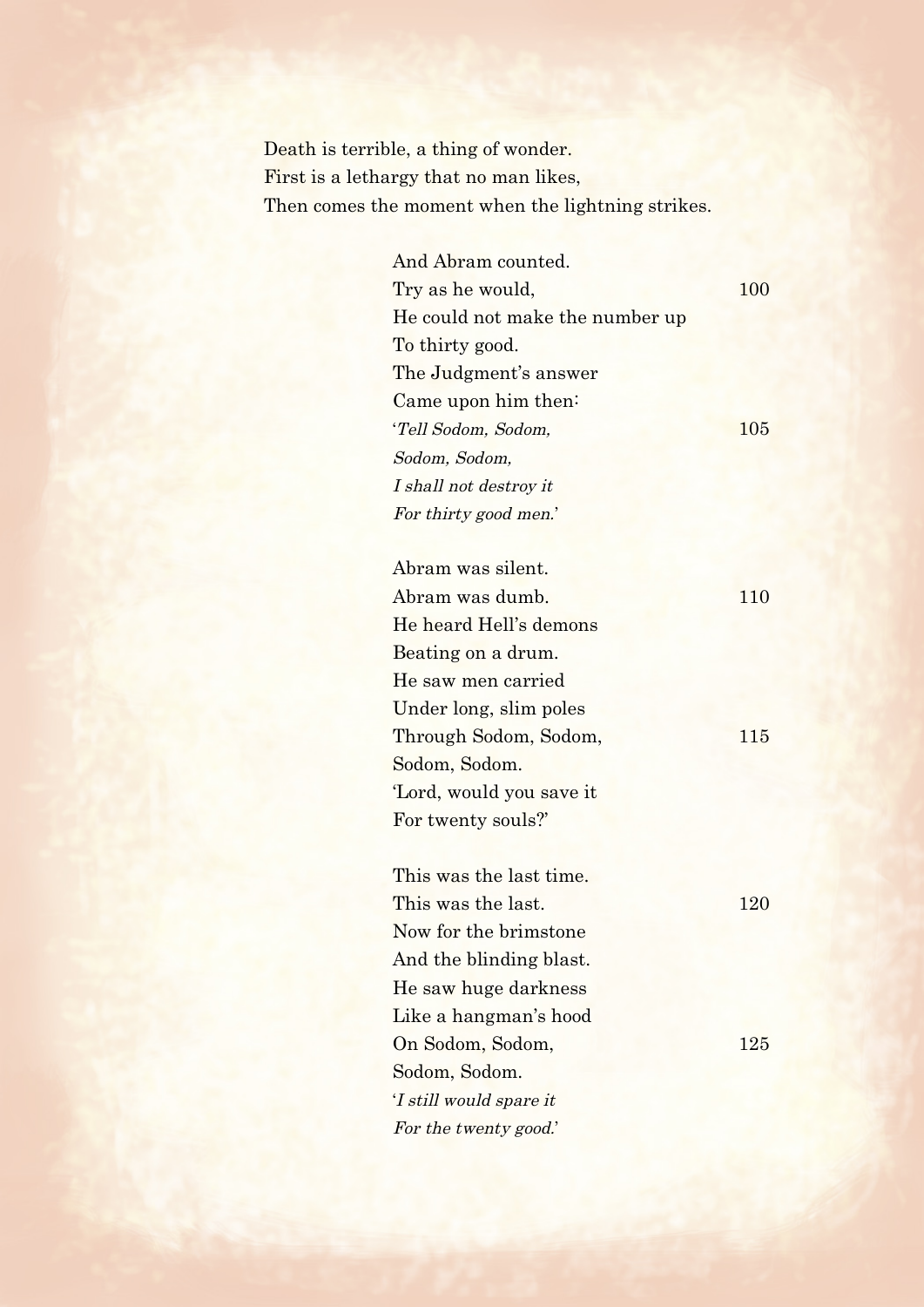Death is terrible, a thing of wonder. First is a lethargy that no man likes, Then comes the moment when the lightning strikes.

| 100 |
|-----|
|     |
|     |
|     |
|     |
| 105 |
|     |
|     |
|     |
|     |

| Abram was silent.       |     |
|-------------------------|-----|
| Abram was dumb.         | 110 |
| He heard Hell's demons  |     |
| Beating on a drum.      |     |
| He saw men carried      |     |
| Under long, slim poles  |     |
| Through Sodom, Sodom,   | 115 |
| Sodom, Sodom.           |     |
| Lord, would you save it |     |
| For twenty souls?'      |     |
|                         |     |
| This was the last time. |     |
| This was the last.      | 120 |
| Now for the brimstone   |     |
| And the blinding blast. |     |
| He saw huge darkness    |     |
| Like a hangman's hood   |     |
| On Sodom, Sodom,        | 125 |
| Sodom, Sodom.           |     |
| 'I still would spare it |     |
| For the twenty good.'   |     |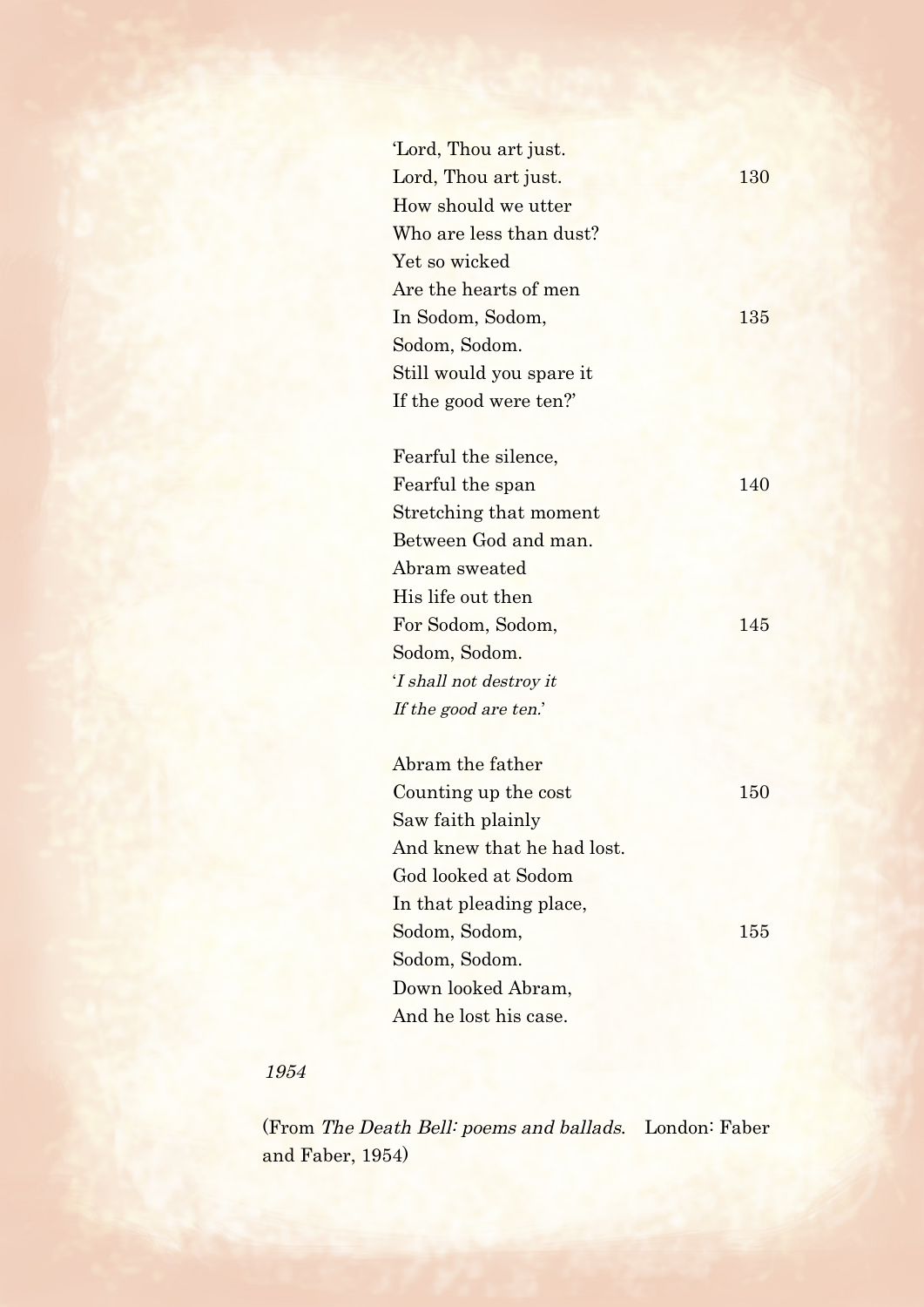| Lord, Thou art just.       |     |
|----------------------------|-----|
| Lord, Thou art just.       | 130 |
| How should we utter        |     |
| Who are less than dust?    |     |
| Yet so wicked              |     |
| Are the hearts of men      |     |
| In Sodom, Sodom,           | 135 |
| Sodom, Sodom.              |     |
| Still would you spare it   |     |
| If the good were ten?      |     |
|                            |     |
| Fearful the silence,       |     |
| Fearful the span           | 140 |
| Stretching that moment     |     |
| Between God and man.       |     |
| Abram sweated              |     |
| His life out then          |     |
| For Sodom, Sodom,          | 145 |
| Sodom, Sodom.              |     |
| 'I shall not destroy it    |     |
| If the good are ten.'      |     |
|                            |     |
| Abram the father           |     |
| Counting up the cost       | 150 |
| Saw faith plainly          |     |
| And knew that he had lost. |     |
| God looked at Sodom        |     |
| In that pleading place,    |     |
| Sodom, Sodom,              | 155 |
| Sodom, Sodom.              |     |
| Down looked Abram,         |     |
| And he lost his case.      |     |

## 1954

 (From The Death Bell: poems and ballads. London: Faber and Faber, 1954)